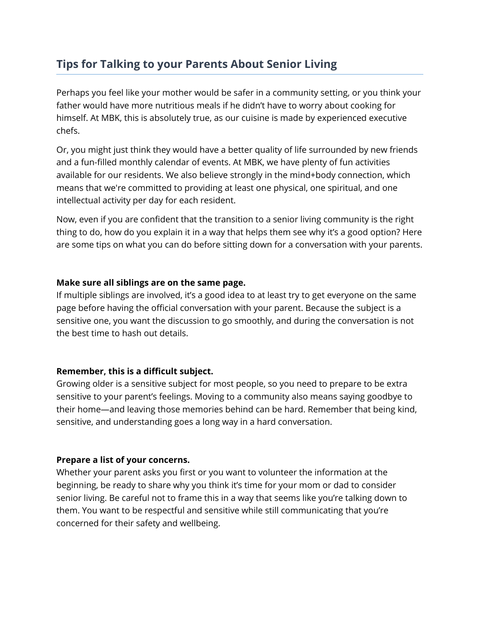# **Tips for Talking to your Parents About Senior Living**

Perhaps you feel like your mother would be safer in a community setting, or you think your father would have more nutritious meals if he didn't have to worry about cooking for himself. At MBK, this is absolutely true, as our cuisine is made by experienced executive chefs.

Or, you might just think they would have a better quality of life surrounded by new friends and a fun-filled monthly calendar of events. At MBK, we have plenty of fun activities available for our residents. We also believe strongly in the mind+body connection, which means that we're committed to providing at least one physical, one spiritual, and one intellectual activity per day for each resident.

Now, even if you are confident that the transition to a senior living community is the right thing to do, how do you explain it in a way that helps them see why it's a good option? Here are some tips on what you can do before sitting down for a conversation with your parents.

## **Make sure all siblings are on the same page.**

If multiple siblings are involved, it's a good idea to at least try to get everyone on the same page before having the official conversation with your parent. Because the subject is a sensitive one, you want the discussion to go smoothly, and during the conversation is not the best time to hash out details.

# **Remember, this is a difficult subject.**

Growing older is a sensitive subject for most people, so you need to prepare to be extra sensitive to your parent's feelings. Moving to a community also means saying goodbye to their home—and leaving those memories behind can be hard. Remember that being kind, sensitive, and understanding goes a long way in a hard conversation.

### **Prepare a list of your concerns.**

Whether your parent asks you first or you want to volunteer the information at the beginning, be ready to share why you think it's time for your mom or dad to consider senior living. Be careful not to frame this in a way that seems like you're talking down to them. You want to be respectful and sensitive while still communicating that you're concerned for their safety and wellbeing.